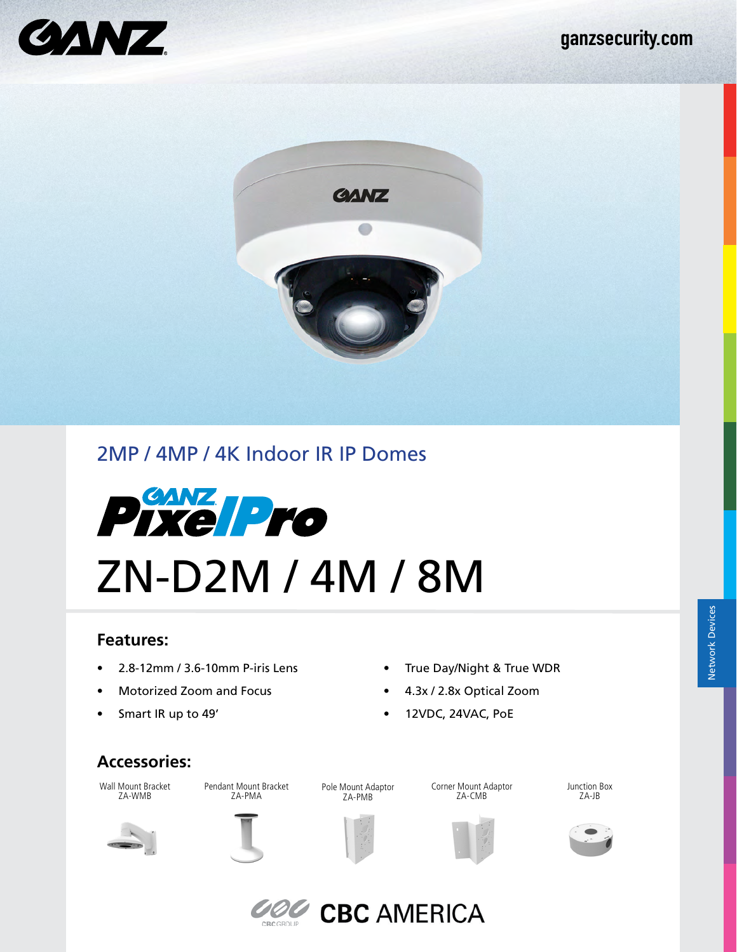



# 2MP / 4MP / 4K Indoor IR IP Domes



### **Features:**

- 2.8-12mm / 3.6-10mm P-iris Lens
- Motorized Zoom and Focus
- Smart IR up to 49'
- True Day/Night & True WDR
- 4.3x / 2.8x Optical Zoom
- 12VDC, 24VAC, PoE

### **Accessories:**

Wall Mount Bracket ZA-WMB

Pendant Mount Bracket

Pole Mount Adaptor ZA-PMB

Corner Mount Adaptor ZA-CMB

Junction Box ZA-JB